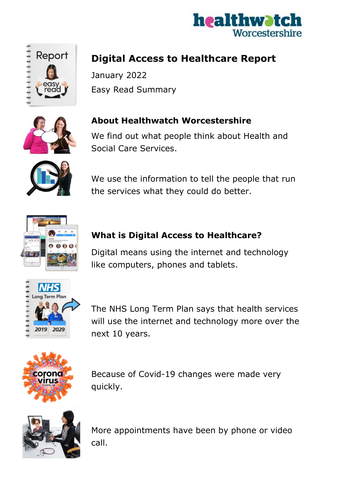



# **Digital Access to Healthcare Report**

January 2022 Easy Read Summary



### **About Healthwatch Worcestershire**

We find out what people think about Health and Social Care Services.



We use the information to tell the people that run the services what they could do better.



### **What is Digital Access to Healthcare?**

Digital means using the internet and technology like computers, phones and tablets.



The NHS Long Term Plan says that health services will use the internet and technology more over the next 10 years.



Because of Covid-19 changes were made very quickly.



More appointments have been by phone or video call.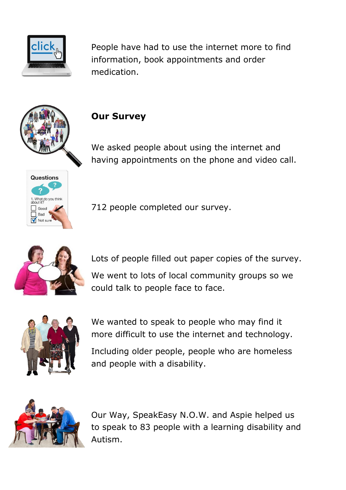

People have had to use the internet more to find information, book appointments and order medication.



## **Our Survey**

We asked people about using the internet and having appointments on the phone and video call.



712 people completed our survey.

Lots of people filled out paper copies of the survey. We went to lots of local community groups so we could talk to people face to face.



We wanted to speak to people who may find it more difficult to use the internet and technology.

Including older people, people who are homeless and people with a disability.



Our Way, SpeakEasy N.O.W. and Aspie helped us to speak to 83 people with a learning disability and Autism.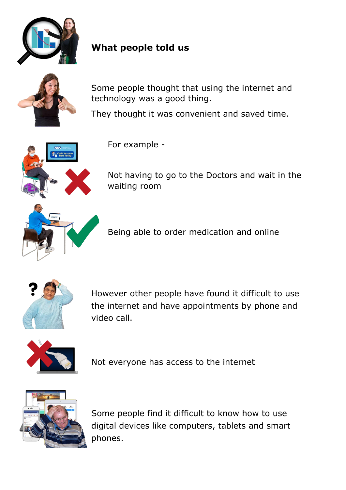

# **What people told us**



Some people thought that using the internet and technology was a good thing.

They thought it was convenient and saved time.



For example -

Not having to go to the Doctors and wait in the waiting room

Being able to order medication and online



However other people have found it difficult to use the internet and have appointments by phone and video call.



Not everyone has access to the internet



Some people find it difficult to know how to use digital devices like computers, tablets and smart phones.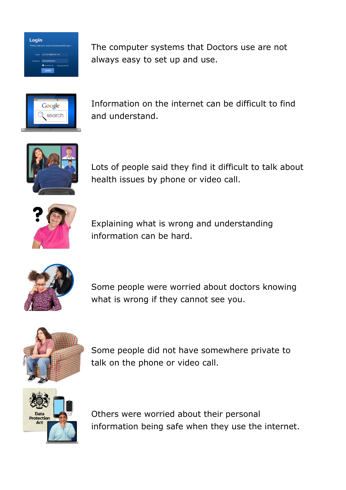

The computer systems that Doctors use are not always easy to set up and use.



Information on the internet can be difficult to find and understand.



Lots of people said they find it difficult to talk about health issues by phone or video call.



Explaining what is wrong and understanding information can be hard.



Some people were worried about doctors knowing what is wrong if they cannot see you.



Some people did not have somewhere private to talk on the phone or video call.



Others were worried about their personal information being safe when they use the internet.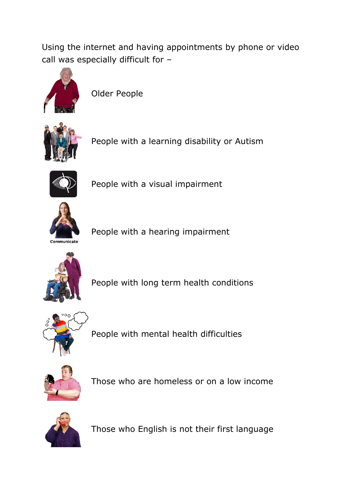Using the internet and having appointments by phone or video call was especially difficult for –



Older People



People with a learning disability or Autism



People with a visual impairment



People with a hearing impairment



People with long term health conditions



People with mental health difficulties



Those who are homeless or on a low income



Those who English is not their first language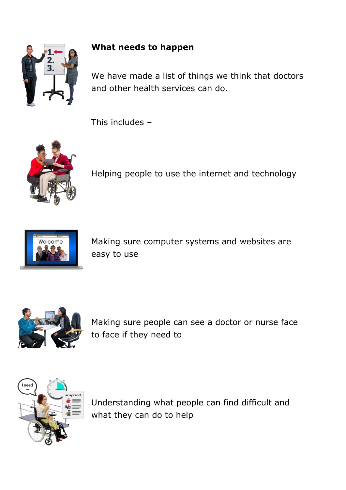

#### **What needs to happen**

We have made a list of things we think that doctors and other health services can do.

This includes –



Helping people to use the internet and technology



Making sure computer systems and websites are easy to use



Making sure people can see a doctor or nurse face to face if they need to



Understanding what people can find difficult and what they can do to help